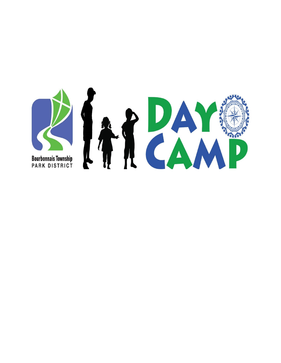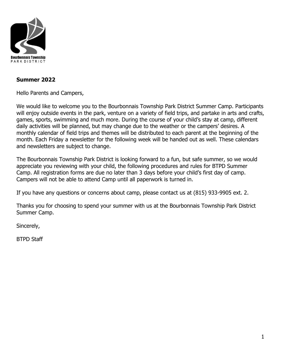

#### **Summer 2022**

Hello Parents and Campers,

We would like to welcome you to the Bourbonnais Township Park District Summer Camp. Participants will enjoy outside events in the park, venture on a variety of field trips, and partake in arts and crafts, games, sports, swimming and much more. During the course of your child's stay at camp, different daily activities will be planned, but may change due to the weather or the campers' desires. A monthly calendar of field trips and themes will be distributed to each parent at the beginning of the month. Each Friday a newsletter for the following week will be handed out as well. These calendars and newsletters are subject to change.

The Bourbonnais Township Park District is looking forward to a fun, but safe summer, so we would appreciate you reviewing with your child, the following procedures and rules for BTPD Summer Camp. All registration forms are due no later than 3 days before your child's first day of camp. Campers will not be able to attend Camp until all paperwork is turned in.

If you have any questions or concerns about camp, please contact us at (815) 933-9905 ext. 2.

Thanks you for choosing to spend your summer with us at the Bourbonnais Township Park District Summer Camp.

Sincerely,

BTPD Staff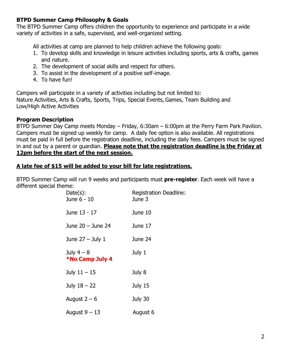#### **BTPD Summer Camp Philosophy & Goals**

The BTPD Summer Camp offers children the opportunity to experience and participate in a wide variety of activities in a safe, supervised, and well-organized setting.

All activities at camp are planned to help children achieve the following goals:

- 1. To develop skills and knowledge in leisure activities including sports, arts & crafts, games and nature.
- 2. The development of social skills and respect for others.
- 3. To assist in the development of a positive self-image.
- 4. To have fun!

Campers will participate in a variety of activities including but not limited to: Nature Activities, Arts & Crafts, Sports, Trips, Special Events, Games, Team Building and Low/High Active Activities

#### **Program Description**

BTPD Summer Day Camp meets Monday – Friday, 6:30am – 6:00pm at the Perry Farm Park Pavilion. Campers must be signed up weekly for camp. A daily fee option is also available. All registrations must be paid in full before the registration deadline, including the daily fees. Campers must be signed in and out by a parent or guardian. **Please note that the registration deadline is the Friday at 12pm before the start of the next session.** 

#### **A late fee of \$15 will be added to your bill for late registrations.**

BTPD Summer Camp will run 9 weeks and participants must **pre-register**. Each week will have a different special theme:

| $Date(s)$ :<br>June 6 - 10           | <b>Registration Deadline:</b><br>June 3 |
|--------------------------------------|-----------------------------------------|
| June 13 - 17                         | June 10                                 |
| June 20 - June 24                    | June 17                                 |
| June $27 -$ July 1                   | June 24                                 |
| July $4-8$<br><b>*No Camp July 4</b> | July 1                                  |
| July $11 - 15$                       | July 8                                  |
| July $18 - 22$                       | July 15                                 |
| August $2 - 6$                       | July 30                                 |
| August $9 - 13$                      | August 6                                |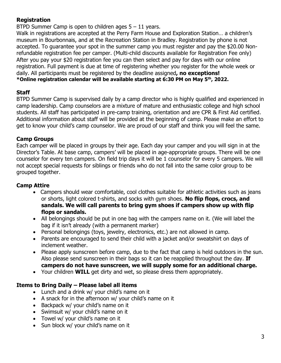# **Registration**

BTPD Summer Camp is open to children ages  $5 - 11$  years.

Walk in registrations are accepted at the Perry Farm House and Exploration Station… a children's museum in Bourbonnais, and at the Recreation Station in Bradley. Registration by phone is not accepted. To guarantee your spot in the summer camp you must register and pay the \$20.00 Nonrefundable registration fee per camper. (Multi-child discounts available for Registration Fee only) After you pay your \$20 registration fee you can then select and pay for days with our online registration. Full payment is due at time of registering whether you register for the whole week or daily. All participants must be registered by the deadline assigned**, no exceptions! \*Online registration calendar will be available starting at 6:30 PM on May 5th, 2022.**

#### **Staff**

BTPD Summer Camp is supervised daily by a camp director who is highly qualified and experienced in camp leadership. Camp counselors are a mixture of mature and enthusiastic college and high school students. All staff has participated in pre-camp training, orientation and are CPR & First Aid certified. Additional information about staff will be provided at the beginning of camp. Please make an effort to get to know your child's camp counselor. We are proud of our staff and think you will feel the same.

#### **Camp Groups**

Each camper will be placed in groups by their age. Each day your camper and you will sign in at the Director's Table. At base camp, campers' will be placed in age-appropriate groups. There will be one counselor for every ten campers. On field trip days it will be 1 counselor for every 5 campers. We will not accept special requests for siblings or friends who do not fall into the same color group to be grouped together.

#### **Camp Attire**

- Campers should wear comfortable, cool clothes suitable for athletic activities such as jeans or shorts, light colored t-shirts, and socks with gym shoes. **No flip flops, crocs, and sandals. We will call parents to bring gym shoes if campers show up with flip flops or sandals.**
- All belongings should be put in one bag with the campers name on it. (We will label the bag if it isn't already (with a permanent marker)
- Personal belongings (toys, jewelry, electronics, etc.) are not allowed in camp.
- Parents are encouraged to send their child with a jacket and/or sweatshirt on days of inclement weather.
- Please apply sunscreen before camp, due to the fact that camp is held outdoors in the sun. Also please send sunscreen in their bags so it can be reapplied throughout the day. **If campers do not have sunscreen, we will supply some for an additional charge.**
- Your children **WILL** get dirty and wet, so please dress them appropriately.

#### **Items to Bring Daily – Please label all items**

- Lunch and a drink w/ your child's name on it
- A snack for in the afternoon w/ your child's name on it
- Backpack w/ your child's name on it
- Swimsuit w/ your child's name on it
- Towel w/ your child's name on it
- Sun block w/ your child's name on it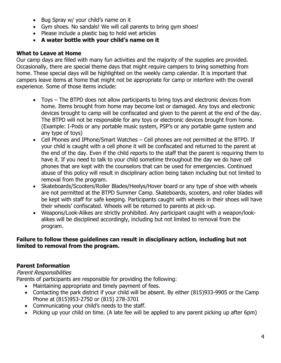- Bug Spray w/ your child's name on it
- Gym shoes. No sandals! We will call parents to bring gym shoes!
- Please include a plastic bag to hold wet articles
- **A water bottle with your child's name on it**

#### **What to Leave at Home**

Our camp days are filled with many fun activities and the majority of the supplies are provided. Occasionally, there are special theme days that might require campers to bring something from home. These special days will be highlighted on the weekly camp calendar. It is important that campers leave items at home that might not be appropriate for camp or interfere with the overall experience. Some of those items include:

- Toys The BTPD does not allow participants to bring toys and electronic devices from home. Items brought from home may become lost or damaged. Any toys and electronic devices brought to camp will be confiscated and given to the parent at the end of the day. The BTPD will not be responsible for any toys or electronic devices brought from home. (Example: I-Pods or any portable music system, PSP's or any portable game system and any type of toys)
- Cell Phones and IPhone/Smart Watches Cell phones are not permitted at the BTPD. If your child is caught with a cell phone it will be confiscated and returned to the parent at the end of the day. Even if the child reports to the staff that the parent is requiring them to have it. If you need to talk to your child sometime throughout the day we do have cell phones that are kept with the counselors that can be used for emergencies. Continued abuse of this policy will result in disciplinary action being taken including but not limited to removal from the program.
- Skateboards/Scooters/Roller Blades/Heelys/Hover board or any type of shoe with wheels are not permitted at the BTPD Summer Camp. Skateboards, scooters, and roller blades will be kept with staff for safe keeping. Participants caught with wheels in their shoes will have their wheels' confiscated. Wheels will be returned to parents at pick-up.
- Weapons/Look-Alikes are strictly prohibited. Any participant caught with a weapon/lookalikes will be disciplined accordingly, including but not limited to removal from the program.

#### **Failure to follow these guidelines can result in disciplinary action, including but not limited to removal from the program.**

# **Parent Information**

#### Parent Responsibilities

Parents of participants are responsible for providing the following:

- Maintaining appropriate and timely payment of fees.
- Contacting the park district if your child will be absent. By either (815)933-9905 or the Camp Phone at (815)953-2750 or (815) 278-3701
- Communicating your child's needs to the staff.
- Picking up your child on time. (A late fee will be applied to any parent picking up after 6pm)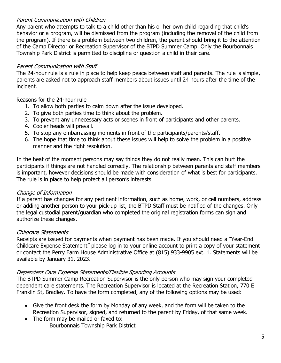#### Parent Communication with Children

Any parent who attempts to talk to a child other than his or her own child regarding that child's behavior or a program, will be dismissed from the program (including the removal of the child from the program). If there is a problem between two children, the parent should bring it to the attention of the Camp Director or Recreation Supervisor of the BTPD Summer Camp. Only the Bourbonnais Township Park District is permitted to discipline or question a child in their care.

# Parent Communication with Staff

The 24-hour rule is a rule in place to help keep peace between staff and parents. The rule is simple, parents are asked not to approach staff members about issues until 24 hours after the time of the incident.

Reasons for the 24-hour rule

- 1. To allow both parties to calm down after the issue developed.
- 2. To give both parties time to think about the problem.
- 3. To prevent any unnecessary acts or scenes in front of participants and other parents.
- 4. Cooler heads will prevail.
- 5. To stop any embarrassing moments in front of the participants/parents/staff.
- 6. The hope that time to think about these issues will help to solve the problem in a positive manner and the right resolution.

In the heat of the moment persons may say things they do not really mean. This can hurt the participants if things are not handled correctly. The relationship between parents and staff members is important, however decisions should be made with consideration of what is best for participants. The rule is in place to help protect all person's interests.

# Change of Information

If a parent has changes for any pertinent information, such as home, work, or cell numbers, address or adding another person to your pick-up list, the BTPD Staff must be notified of the changes. Only the legal custodial parent/guardian who completed the original registration forms can sign and authorize these changes.

# Childcare Statements

Receipts are issued for payments when payment has been made. If you should need a "Year-End Childcare Expense Statement" please log in to your online account to print a copy of your statement or contact the Perry Farm House Administrative Office at (815) 933-9905 ext. 1. Statements will be available by January 31, 2023.

# Dependent Care Expense Statements/Flexible Spending Accounts

The BTPD Summer Camp Recreation Supervisor is the only person who may sign your completed dependent care statements. The Recreation Supervisor is located at the Recreation Station, 770 E Franklin St, Bradley. To have the form completed, any of the following options may be used:

- Give the front desk the form by Monday of any week, and the form will be taken to the Recreation Supervisor, signed, and returned to the parent by Friday, of that same week.
- The form may be mailed or faxed to: Bourbonnais Township Park District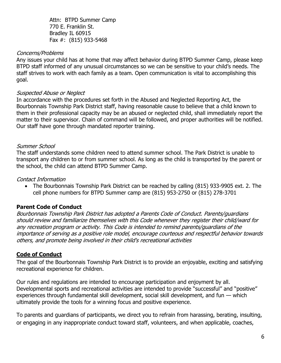Attn: BTPD Summer Camp 770 E. Franklin St. Bradley IL 60915 Fax #: (815) 933-5468

#### Concerns/Problems

Any issues your child has at home that may affect behavior during BTPD Summer Camp, please keep BTPD staff informed of any unusual circumstances so we can be sensitive to your child's needs. The staff strives to work with each family as a team. Open communication is vital to accomplishing this goal.

#### Suspected Abuse or Neglect

In accordance with the procedures set forth in the Abused and Neglected Reporting Act, the Bourbonnais Township Park District staff, having reasonable cause to believe that a child known to them in their professional capacity may be an abused or neglected child, shall immediately report the matter to their supervisor. Chain of command will be followed, and proper authorities will be notified. Our staff have gone through mandated reporter training.

#### Summer School

The staff understands some children need to attend summer school. The Park District is unable to transport any children to or from summer school. As long as the child is transported by the parent or the school, the child can attend BTPD Summer Camp.

#### Contact Information

 The Bourbonnais Township Park District can be reached by calling (815) 933-9905 ext. 2. The cell phone numbers for BTPD Summer camp are (815) 953-2750 or (815) 278-3701

#### **Parent Code of Conduct**

Bourbonnais Township Park District has adopted a Parents Code of Conduct. Parents/guardians should review and familiarize themselves with this Code whenever they register their child/ward for any recreation program or activity. This Code is intended to remind parents/guardians of the importance of serving as a positive role model, encourage courteous and respectful behavior towards others, and promote being involved in their child's recreational activities

#### **Code of Conduct**

The goal of the Bourbonnais Township Park District is to provide an enjoyable, exciting and satisfying recreational experience for children.

Our rules and regulations are intended to encourage participation and enjoyment by all. Developmental sports and recreational activities are intended to provide "successful" and "positive" experiences through fundamental skill development, social skill development, and fun — which ultimately provide the tools for a winning focus and positive experience.

To parents and guardians of participants, we direct you to refrain from harassing, berating, insulting, or engaging in any inappropriate conduct toward staff, volunteers, and when applicable, coaches,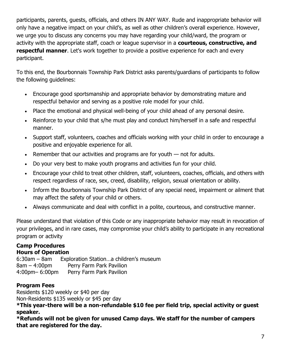participants, parents, guests, officials, and others IN ANY WAY. Rude and inappropriate behavior will only have a negative impact on your child's, as well as other children's overall experience. However, we urge you to discuss any concerns you may have regarding your child/ward, the program or activity with the appropriate staff, coach or league supervisor in a **courteous, constructive, and respectful manner**. Let's work together to provide a positive experience for each and every participant.

To this end, the Bourbonnais Township Park District asks parents/guardians of participants to follow the following guidelines:

- Encourage good sportsmanship and appropriate behavior by demonstrating mature and respectful behavior and serving as a positive role model for your child.
- Place the emotional and physical well-being of your child ahead of any personal desire.
- Reinforce to your child that s/he must play and conduct him/herself in a safe and respectful manner.
- Support staff, volunteers, coaches and officials working with your child in order to encourage a positive and enjoyable experience for all.
- Remember that our activities and programs are for youth not for adults.
- Do your very best to make youth programs and activities fun for your child.
- Encourage your child to treat other children, staff, volunteers, coaches, officials, and others with respect regardless of race, sex, creed, disability, religion, sexual orientation or ability.
- Inform the Bourbonnais Township Park District of any special need, impairment or ailment that may affect the safety of your child or others.
- Always communicate and deal with conflict in a polite, courteous, and constructive manner.

Please understand that violation of this Code or any inappropriate behavior may result in revocation of your privileges, and in rare cases, may compromise your child's ability to participate in any recreational program or activity

# **Camp Procedures**

# **Hours of Operation**

6:30am – 8am Exploration Station…a children's museum 8am – 4:00pm Perry Farm Park Pavilion 4:00pm– 6:00pm Perry Farm Park Pavilion

# **Program Fees**

Residents \$120 weekly or \$40 per day

Non-Residents \$135 weekly or \$45 per day

**\*This year-there will be a non-refundable \$10 fee per field trip, special activity or guest speaker.**

**\*Refunds will not be given for unused Camp days. We staff for the number of campers that are registered for the day.**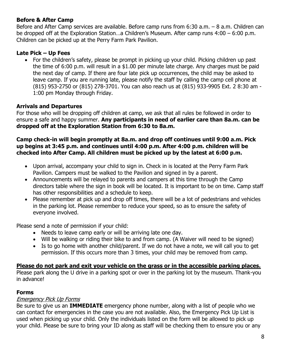#### **Before & After Camp**

Before and After Camp services are available. Before camp runs from 6:30 a.m. – 8 a.m. Children can be dropped off at the Exploration Station…a Children's Museum. After camp runs 4:00 – 6:00 p.m. Children can be picked up at the Perry Farm Park Pavilion.

#### **Late Pick – Up Fees**

• For the children's safety, please be prompt in picking up your child. Picking children up past the time of 6:00 p.m. will result in a \$1.00 per minute late charge. Any charges must be paid the next day of camp. If there are four late pick up occurrences, the child may be asked to leave camp. If you are running late, please notify the staff by calling the camp cell phone at (815) 953-2750 or (815) 278-3701. You can also reach us at (815) 933-9905 Ext. 2 8:30 am - 1:00 pm Monday through Friday.

# **Arrivals and Departures**

For those who will be dropping off children at camp, we ask that all rules be followed in order to ensure a safe and happy summer. **Any participants in need of earlier care than 8a.m. can be dropped off at the Exploration Station from 6:30 to 8a.m.** 

#### **Camp check-in will begin promptly at 8a.m. and drop off continues until 9:00 a.m. Pick up begins at 3:45 p.m. and continues until 4:00 p.m. After 4:00 p.m. children will be checked into After Camp. All children must be picked up by the latest at 6:00 p.m.**

- Upon arrival, accompany your child to sign in. Check in is located at the Perry Farm Park Pavilion. Campers must be walked to the Pavilion and signed in by a parent.
- Announcements will be relayed to parents and campers at this time through the Camp directors table where the sign in book will be located. It is important to be on time. Camp staff has other responsibilities and a schedule to keep.
- Please remember at pick up and drop off times, there will be a lot of pedestrians and vehicles in the parking lot. Please remember to reduce your speed, so as to ensure the safety of everyone involved.

Please send a note of permission if your child:

- Needs to leave camp early or will be arriving late one day.
- Will be walking or riding their bike to and from camp. (A Waiver will need to be signed)
- Is to go home with another child/parent. If we do not have a note, we will call you to get permission. If this occurs more than 3 times, your child may be removed from camp.

# **Please do not park and exit your vehicle on the grass or in the accessible parking places.**

Please park along the U drive in a parking spot or over in the parking lot by the museum. Thank-you in advance!

# **Forms**

# Emergency Pick Up Forms

Be sure to give us an **IMMEDIATE** emergency phone number, along with a list of people who we can contact for emergencies in the case you are not available. Also, the Emergency Pick Up List is used when picking up your child. Only the individuals listed on the form will be allowed to pick up your child. Please be sure to bring your ID along as staff will be checking them to ensure you or any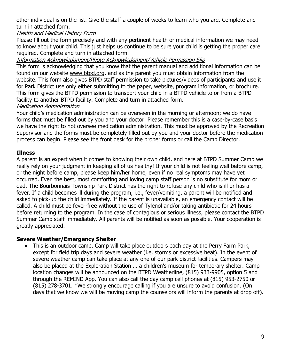other individual is on the list. Give the staff a couple of weeks to learn who you are. Complete and turn in attached form.

#### Health and Medical History Form

Please fill out the form precisely and with any pertinent health or medical information we may need to know about your child. This just helps us continue to be sure your child is getting the proper care required. Complete and turn in attached form.

#### Information Acknowledgment/Photo Acknowledgment/Vehicle Permission Slip

This form is acknowledging that you know that the parent manual and additional information can be found on our website [www.btpd.org,](http://www.btpd.org/) and as the parent you must obtain information from the website. This form also gives BTPD staff permission to take pictures/videos of participants and use it for Park District use only either submitting to the paper, website, program information, or brochure. This form gives the BTPD permission to transport your child in a BTPD vehicle to or from a BTPD facility to another BTPD facility. Complete and turn in attached form.

#### Medication Administration

Your child's medication administration can be overseen in the morning or afternoon; we do have forms that must be filled out by you and your doctor. Please remember this is a case-by-case basis we have the right to not oversee medication administration. This must be approved by the Recreation Supervisor and the forms must be completely filled out by you and your doctor before the medication process can begin. Please see the front desk for the proper forms or call the Camp Director.

#### **Illness**

A parent is an expert when it comes to knowing their own child, and here at BTPD Summer Camp we really rely on your judgment in keeping all of us healthy! If your child is not feeling well before camp, or the night before camp, please keep him/her home, even if no real symptoms may have yet occurred. Even the best, most comforting and loving camp staff person is no substitute for mom or dad. The Bourbonnais Township Park District has the right to refuse any child who is ill or has a fever. If a child becomes ill during the program, i.e., fever/vomiting, a parent will be notified and asked to pick-up the child immediately. If the parent is unavailable, an emergency contact will be called. A child must be fever-free without the use of Tylenol and/or taking antibiotic for 24 hours before returning to the program. In the case of contagious or serious illness, please contact the BTPD Summer Camp staff immediately. All parents will be notified as soon as possible. Your cooperation is greatly appreciated.

#### **Severe Weather/Emergency Shelter**

 This is an outdoor camp. Camp will take place outdoors each day at the Perry Farm Park, except for field trip days and severe weather (i.e. storms or excessive heat). In the event of severe weather camp can take place at any one of our park district facilities. Campers may also be placed at the Exploration Station … a children's museum for temporary shelter. Camp location changes will be announced on the BTPD Weatherline, (815) 933-9905, option 5 and through the REMIND App. You can also call the day camp cell phones at (815) 953-2750 or (815) 278-3701. \*We strongly encourage calling if you are unsure to avoid confusion. (On days that we know we will be moving camp the counselors will inform the parents at drop off).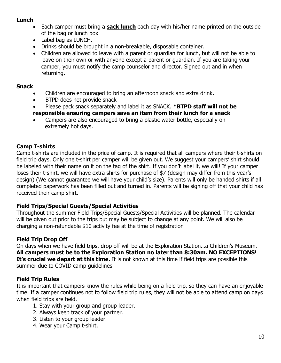#### **Lunch**

- Each camper must bring a **sack lunch** each day with his/her name printed on the outside of the bag or lunch box
- Label bag as LUNCH.
- Drinks should be brought in a non-breakable, disposable container.
- Children are allowed to leave with a parent or guardian for lunch, but will not be able to leave on their own or with anyone except a parent or guardian. If you are taking your camper, you must notify the camp counselor and director. Signed out and in when returning.

#### **Snack**

- Children are encouraged to bring an afternoon snack and extra drink.
- BTPD does not provide snack
- Please pack snack separately and label it as SNACK. **\*BTPD staff will not be responsible ensuring campers save an item from their lunch for a snack**
- Campers are also encouraged to bring a plastic water bottle, especially on extremely hot days.

# **Camp T-shirts**

Camp t-shirts are included in the price of camp. It is required that all campers where their t-shirts on field trip days. Only one t-shirt per camper will be given out. We suggest your campers' shirt should be labeled with their name on it on the tag of the shirt. If you don't label it, we will! If your camper loses their t-shirt, we will have extra shirts for purchase of \$7 (design may differ from this year's design) (We cannot guarantee we will have your child's size). Parents will only be handed shirts if all completed paperwork has been filled out and turned in. Parents will be signing off that your child has received their camp shirt.

#### **Field Trips/Special Guests/Special Activities**

Throughout the summer Field Trips/Special Guests/Special Activities will be planned. The calendar will be given out prior to the trips but may be subject to change at any point. We will also be charging a non-refundable \$10 activity fee at the time of registration

# **Field Trip Drop Off**

On days when we have field trips, drop off will be at the Exploration Station…a Children's Museum. **All campers must be to the Exploration Station no later than 8:30am. NO EXCEPTIONS!**  It's crucial we depart at this time. It is not known at this time if field trips are possible this summer due to COVID camp guidelines.

#### **Field Trip Rules**

It is important that campers know the rules while being on a field trip, so they can have an enjoyable time. If a camper continues not to follow field trip rules, they will not be able to attend camp on days when field trips are held.

- 1. Stay with your group and group leader.
- 2. Always keep track of your partner.
- 3. Listen to your group leader.
- 4. Wear your Camp t-shirt.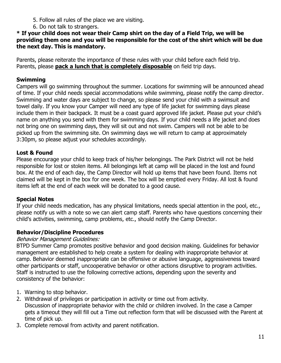- 5. Follow all rules of the place we are visiting.
- 6. Do not talk to strangers.

**\* If your child does not wear their Camp shirt on the day of a Field Trip, we will be providing them one and you will be responsible for the cost of the shirt which will be due the next day. This is mandatory.**

Parents, please reiterate the importance of these rules with your child before each field trip. Parents, please **pack a lunch that is completely disposable** on field trip days.

#### **Swimming**

Campers will go swimming throughout the summer. Locations for swimming will be announced ahead of time. If your child needs special accommodations while swimming, please notify the camp director. Swimming and water days are subject to change, so please send your child with a swimsuit and towel daily. If you know your Camper will need any type of life jacket for swimming days please include them in their backpack. It must be a coast guard approved life jacket. Please put your child's name on anything you send with them for swimming days. If your child needs a life jacket and does not bring one on swimming days, they will sit out and not swim. Campers will not be able to be picked up from the swimming site. On swimming days we will return to camp at approximately 3:30pm, so please adjust your schedules accordingly.

#### **Lost & Found**

Please encourage your child to keep track of his/her belongings. The Park District will not be held responsible for lost or stolen items. All belongings left at camp will be placed in the lost and found box. At the end of each day, the Camp Director will hold up items that have been found. Items not claimed will be kept in the box for one week. The box will be emptied every Friday. All lost & found items left at the end of each week will be donated to a good cause.

#### **Special Notes**

If your child needs medication, has any physical limitations, needs special attention in the pool, etc., please notify us with a note so we can alert camp staff. Parents who have questions concerning their child's activities, swimming, camp problems, etc., should notify the Camp Director.

#### **Behavior/Discipline Procedures**

#### Behavior Management Guidelines:

BTPD Summer Camp promotes positive behavior and good decision making. Guidelines for behavior management are established to help create a system for dealing with inappropriate behavior at camp. Behavior deemed inappropriate can be offensive or abusive language, aggressiveness toward other participants or staff, uncooperative behavior or other actions disruptive to program activities. Staff is instructed to use the following corrective actions, depending upon the severity and consistency of the behavior:

- 1. Warning to stop behavior.
- 2. Withdrawal of privileges or participation in activity or time out from activity. Discussion of inappropriate behavior with the child or children involved. In the case a Camper gets a timeout they will fill out a Time out reflection form that will be discussed with the Parent at time of pick up.
- 3. Complete removal from activity and parent notification.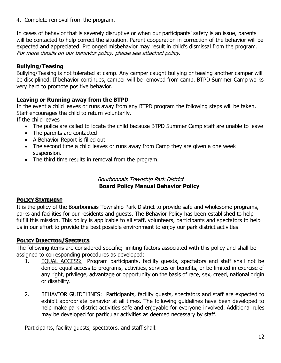4. Complete removal from the program.

In cases of behavior that is severely disruptive or when our participants' safety is an issue, parents will be contacted to help correct the situation. Parent cooperation in correction of the behavior will be expected and appreciated. Prolonged misbehavior may result in child's dismissal from the program. For more details on our behavior policy, please see attached policy.

# **Bullying/Teasing**

Bullying/Teasing is not tolerated at camp. Any camper caught bullying or teasing another camper will be disciplined. If behavior continues, camper will be removed from camp. BTPD Summer Camp works very hard to promote positive behavior.

# **Leaving or Running away from the BTPD**

In the event a child leaves or runs away from any BTPD program the following steps will be taken. Staff encourages the child to return voluntarily.

If the child leaves

- The police are called to locate the child because BTPD Summer Camp staff are unable to leave
- The parents are contacted
- A Behavior Report is filled out.
- The second time a child leaves or runs away from Camp they are given a one week suspension.
- The third time results in removal from the program.

#### Bourbonnais Township Park District **Board Policy Manual Behavior Policy**

#### **POLICY STATEMENT**

It is the policy of the Bourbonnais Township Park District to provide safe and wholesome programs, parks and facilities for our residents and guests. The Behavior Policy has been established to help fulfill this mission. This policy is applicable to all staff, volunteers, participants and spectators to help us in our effort to provide the best possible environment to enjoy our park district activities.

#### **POLICY DIRECTION/SPECIFICS**

The following items are considered specific; limiting factors associated with this policy and shall be assigned to corresponding procedures as developed:

- 1. EQUAL ACCESS: Program participants, facility guests, spectators and staff shall not be denied equal access to programs, activities, services or benefits, or be limited in exercise of any right, privilege, advantage or opportunity on the basis of race, sex, creed, national origin or disability.
- 2. BEHAVIOR GUIDELINES: Participants, facility guests, spectators and staff are expected to exhibit appropriate behavior at all times. The following guidelines have been developed to help make park district activities safe and enjoyable for everyone involved. Additional rules may be developed for particular activities as deemed necessary by staff.

Participants, facility guests, spectators, and staff shall: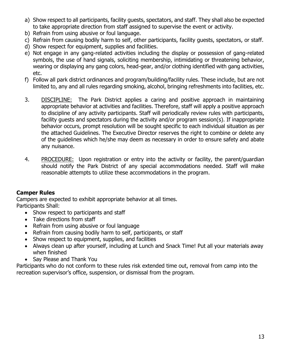- a) Show respect to all participants, facility guests, spectators, and staff. They shall also be expected to take appropriate direction from staff assigned to supervise the event or activity.
- b) Refrain from using abusive or foul language.
- c) Refrain from causing bodily harm to self, other participants, facility guests, spectators, or staff.
- d) Show respect for equipment, supplies and facilities.
- e) Not engage in any gang-related activities including the display or possession of gang-related symbols, the use of hand signals, soliciting membership, intimidating or threatening behavior, wearing or displaying any gang colors, head-gear, and/or clothing identified with gang activities, etc.
- f) Follow all park district ordinances and program/building/facility rules. These include, but are not limited to, any and all rules regarding smoking, alcohol, bringing refreshments into facilities, etc.
- 3. DISCIPLINE: The Park District applies a caring and positive approach in maintaining appropriate behavior at activities and facilities. Therefore, staff will apply a positive approach to discipline of any activity participants. Staff will periodically review rules with participants, facility guests and spectators during the activity and/or program session(s). If inappropriate behavior occurs, prompt resolution will be sought specific to each individual situation as per the attached Guidelines. The Executive Director reserves the right to combine or delete any of the guidelines which he/she may deem as necessary in order to ensure safety and abate any nuisance.
- 4. PROCEDURE: Upon registration or entry into the activity or facility, the parent/guardian should notify the Park District of any special accommodations needed. Staff will make reasonable attempts to utilize these accommodations in the program.

#### **Camper Rules**

Campers are expected to exhibit appropriate behavior at all times. Participants Shall:

- Show respect to participants and staff
- Take directions from staff
- Refrain from using abusive or foul language
- Refrain from causing bodily harm to self, participants, or staff
- Show respect to equipment, supplies, and facilities
- Always clean up after yourself, including at Lunch and Snack Time! Put all your materials away when finished
- Say Please and Thank You

Participants who do not conform to these rules risk extended time out, removal from camp into the recreation supervisor's office, suspension, or dismissal from the program.